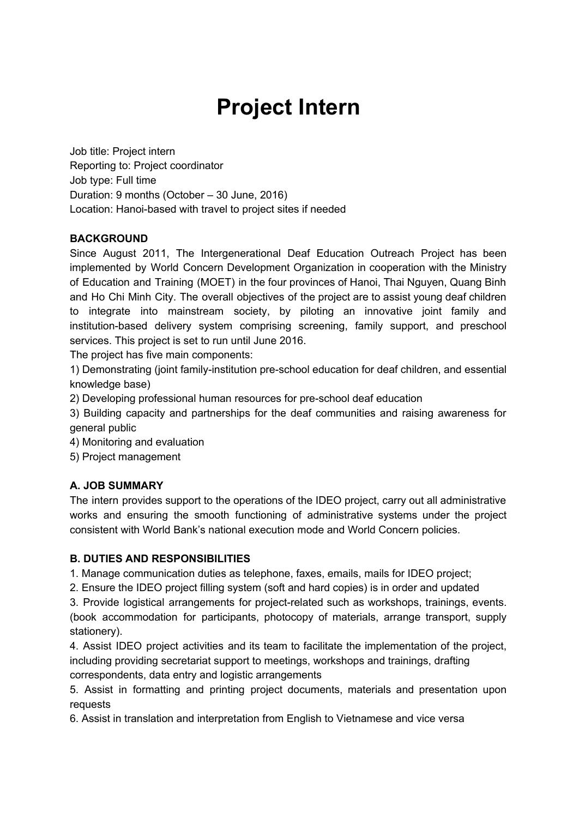# **Project Intern**

Job title: Project intern Reporting to: Project coordinator Job type: Full time Duration: 9 months (October – 30 June, 2016) Location: Hanoi-based with travel to project sites if needed

#### **BACKGROUND**

Since August 2011, The Intergenerational Deaf Education Outreach Project has been implemented by World Concern Development Organization in cooperation with the Ministry of Education and Training (MOET) in the four provinces of Hanoi, Thai Nguyen, Quang Binh and Ho Chi Minh City. The overall objectives of the project are to assist young deaf children to integrate into mainstream society, by piloting an innovative joint family and institution-based delivery system comprising screening, family support, and preschool services. This project is set to run until June 2016.

The project has five main components:

1) Demonstrating (joint family-institution pre-school education for deaf children, and essential knowledge base)

2) Developing professional human resources for pre-school deaf education

3) Building capacity and partnerships for the deaf communities and raising awareness for general public

4) Monitoring and evaluation

5) Project management

### **A. JOB SUMMARY**

The intern provides support to the operations of the IDEO project, carry out all administrative works and ensuring the smooth functioning of administrative systems under the project consistent with World Bank's national execution mode and World Concern policies.

#### **B. DUTIES AND RESPONSIBILITIES**

1. Manage communication duties as telephone, faxes, emails, mails for IDEO project;

2. Ensure the IDEO project filling system (soft and hard copies) is in order and updated

3. Provide logistical arrangements for project-related such as workshops, trainings, events. (book accommodation for participants, photocopy of materials, arrange transport, supply stationery).

4. Assist IDEO project activities and its team to facilitate the implementation of the project, including providing secretariat support to meetings, workshops and trainings, drafting correspondents, data entry and logistic arrangements

5. Assist in formatting and printing project documents, materials and presentation upon requests

6. Assist in translation and interpretation from English to Vietnamese and vice versa